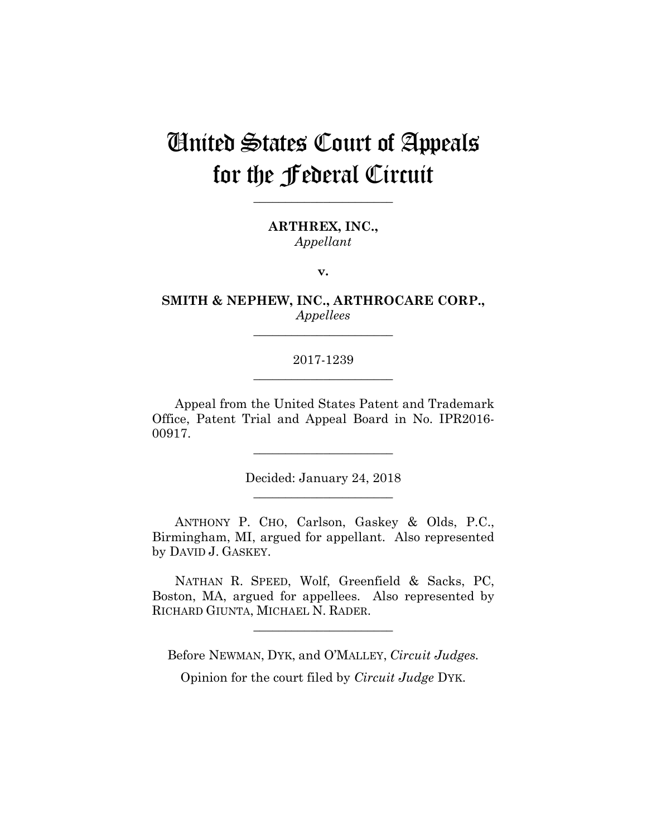# United States Court of Appeals for the Federal Circuit

**\_\_\_\_\_\_\_\_\_\_\_\_\_\_\_\_\_\_\_\_\_\_** 

**ARTHREX, INC.,** *Appellant*

**v.**

**SMITH & NEPHEW, INC., ARTHROCARE CORP.,** *Appellees*

**\_\_\_\_\_\_\_\_\_\_\_\_\_\_\_\_\_\_\_\_\_\_** 

# 2017-1239 **\_\_\_\_\_\_\_\_\_\_\_\_\_\_\_\_\_\_\_\_\_\_**

Appeal from the United States Patent and Trademark Office, Patent Trial and Appeal Board in No. IPR2016- 00917.

**\_\_\_\_\_\_\_\_\_\_\_\_\_\_\_\_\_\_\_\_\_\_** 

Decided: January 24, 2018 **\_\_\_\_\_\_\_\_\_\_\_\_\_\_\_\_\_\_\_\_\_\_** 

 ANTHONY P. CHO, Carlson, Gaskey & Olds, P.C., Birmingham, MI, argued for appellant. Also represented by DAVID J. GASKEY.

 NATHAN R. SPEED, Wolf, Greenfield & Sacks, PC, Boston, MA, argued for appellees. Also represented by RICHARD GIUNTA, MICHAEL N. RADER.

**\_\_\_\_\_\_\_\_\_\_\_\_\_\_\_\_\_\_\_\_\_\_** 

Before NEWMAN, DYK, and O'MALLEY, *Circuit Judges.*

Opinion for the court filed by *Circuit Judge* DYK.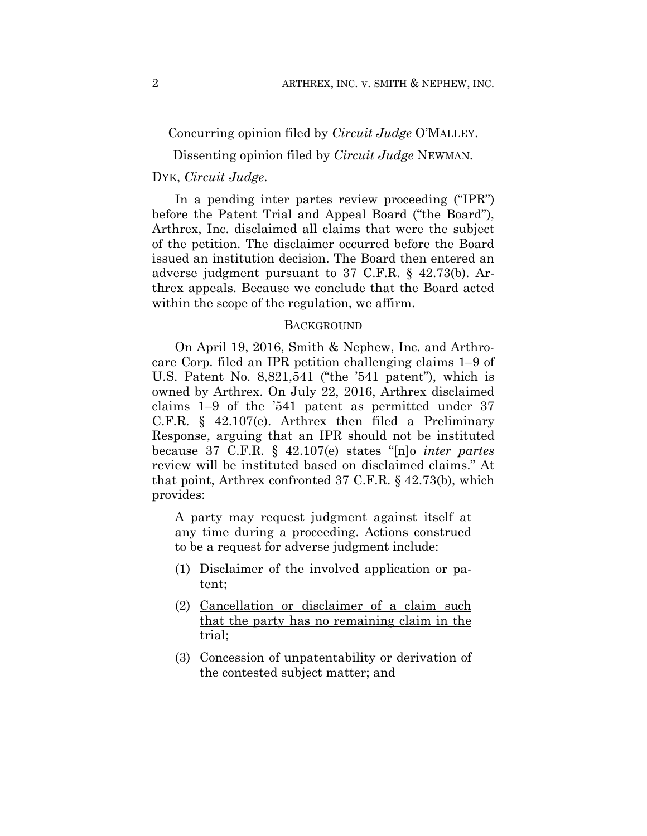Concurring opinion filed by *Circuit Judge* O'MALLEY.

Dissenting opinion filed by *Circuit Judge* NEWMAN.

## DYK, *Circuit Judge*.

In a pending inter partes review proceeding ("IPR") before the Patent Trial and Appeal Board ("the Board"), Arthrex, Inc. disclaimed all claims that were the subject of the petition. The disclaimer occurred before the Board issued an institution decision. The Board then entered an adverse judgment pursuant to 37 C.F.R. § 42.73(b). Arthrex appeals. Because we conclude that the Board acted within the scope of the regulation, we affirm.

### **BACKGROUND**

On April 19, 2016, Smith & Nephew, Inc. and Arthrocare Corp. filed an IPR petition challenging claims 1–9 of U.S. Patent No. 8,821,541 ("the '541 patent"), which is owned by Arthrex. On July 22, 2016, Arthrex disclaimed claims 1–9 of the '541 patent as permitted under 37 C.F.R. § 42.107(e). Arthrex then filed a Preliminary Response, arguing that an IPR should not be instituted because 37 C.F.R. § 42.107(e) states "[n]o *inter partes*  review will be instituted based on disclaimed claims." At that point, Arthrex confronted 37 C.F.R. § 42.73(b), which provides:

A party may request judgment against itself at any time during a proceeding. Actions construed to be a request for adverse judgment include:

- (1) Disclaimer of the involved application or patent;
- (2) Cancellation or disclaimer of a claim such that the party has no remaining claim in the trial;
- (3) Concession of unpatentability or derivation of the contested subject matter; and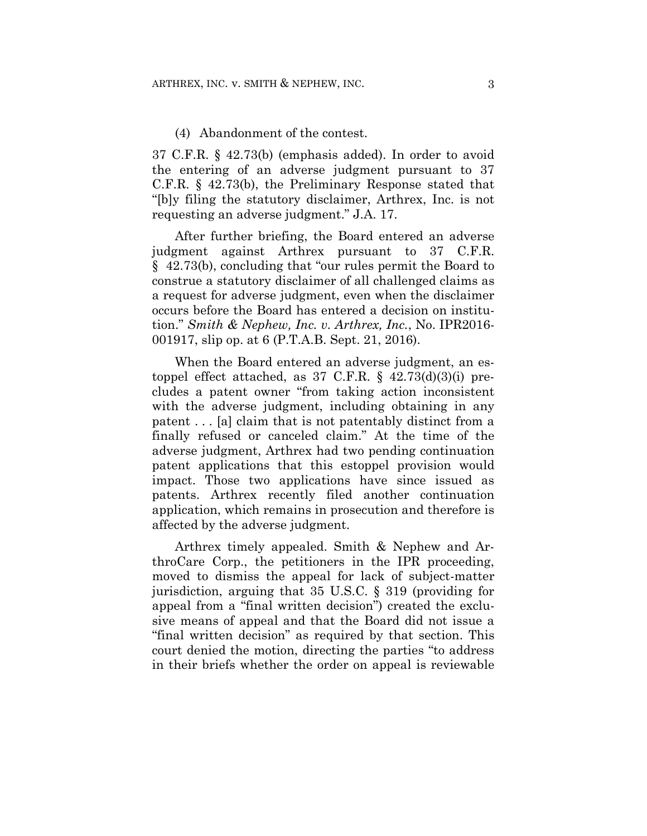### (4) Abandonment of the contest.

37 C.F.R. § 42.73(b) (emphasis added). In order to avoid the entering of an adverse judgment pursuant to 37 C.F.R. § 42.73(b), the Preliminary Response stated that "[b]y filing the statutory disclaimer, Arthrex, Inc. is not requesting an adverse judgment." J.A. 17.

After further briefing, the Board entered an adverse judgment against Arthrex pursuant to 37 C.F.R. § 42.73(b), concluding that "our rules permit the Board to construe a statutory disclaimer of all challenged claims as a request for adverse judgment, even when the disclaimer occurs before the Board has entered a decision on institution." *Smith & Nephew, Inc. v. Arthrex, Inc.*, No. IPR2016- 001917, slip op. at 6 (P.T.A.B. Sept. 21, 2016).

When the Board entered an adverse judgment, an estoppel effect attached, as  $37 \text{ C.F.R.}$  §  $42.73\text{ (d)}(3)\text{ (i)}$  precludes a patent owner "from taking action inconsistent with the adverse judgment, including obtaining in any patent . . . [a] claim that is not patentably distinct from a finally refused or canceled claim." At the time of the adverse judgment, Arthrex had two pending continuation patent applications that this estoppel provision would impact. Those two applications have since issued as patents. Arthrex recently filed another continuation application, which remains in prosecution and therefore is affected by the adverse judgment.

Arthrex timely appealed. Smith & Nephew and ArthroCare Corp., the petitioners in the IPR proceeding, moved to dismiss the appeal for lack of subject-matter jurisdiction, arguing that 35 U.S.C. § 319 (providing for appeal from a "final written decision") created the exclusive means of appeal and that the Board did not issue a "final written decision" as required by that section. This court denied the motion, directing the parties "to address in their briefs whether the order on appeal is reviewable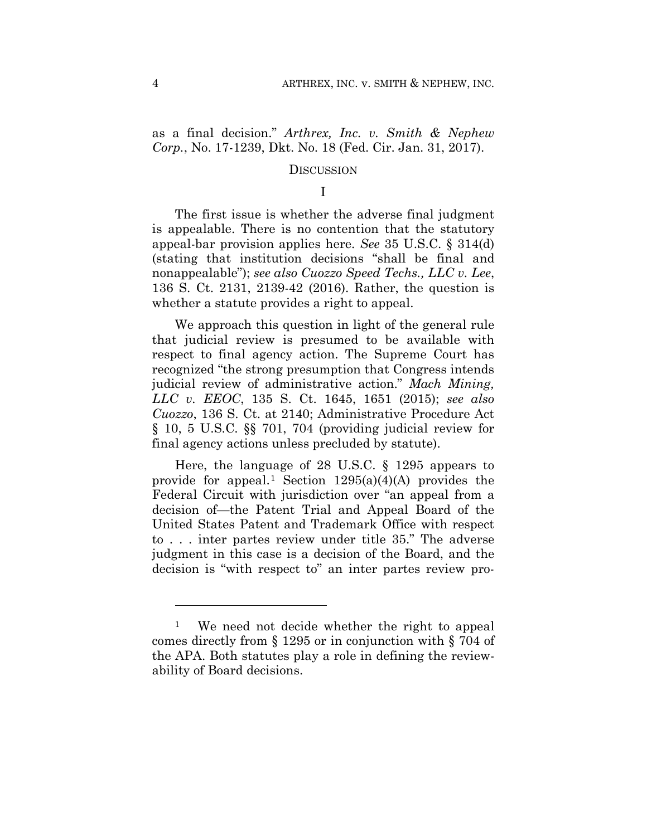as a final decision." *Arthrex, Inc. v. Smith & Nephew Corp.*, No. 17-1239, Dkt. No. 18 (Fed. Cir. Jan. 31, 2017).

### **DISCUSSION**

I

The first issue is whether the adverse final judgment is appealable. There is no contention that the statutory appeal-bar provision applies here. *See* 35 U.S.C. § 314(d) (stating that institution decisions "shall be final and nonappealable"); *see also Cuozzo Speed Techs., LLC v. Lee*, 136 S. Ct. 2131, 2139-42 (2016). Rather, the question is whether a statute provides a right to appeal.

We approach this question in light of the general rule that judicial review is presumed to be available with respect to final agency action. The Supreme Court has recognized "the strong presumption that Congress intends judicial review of administrative action." *Mach Mining, LLC v. EEOC*, 135 S. Ct. 1645, 1651 (2015); *see also Cuozzo*, 136 S. Ct. at 2140; Administrative Procedure Act § 10, 5 U.S.C. §§ 701, 704 (providing judicial review for final agency actions unless precluded by statute).

Here, the language of 28 U.S.C. § 1295 appears to provide for appeal.<sup>1</sup> Section  $1295(a)(4)(A)$  provides the Federal Circuit with jurisdiction over "an appeal from a decision of—the Patent Trial and Appeal Board of the United States Patent and Trademark Office with respect to . . . inter partes review under title 35." The adverse judgment in this case is a decision of the Board, and the decision is "with respect to" an inter partes review pro-

1

<sup>&</sup>lt;sup>1</sup> We need not decide whether the right to appeal comes directly from § 1295 or in conjunction with § 704 of the APA. Both statutes play a role in defining the reviewability of Board decisions.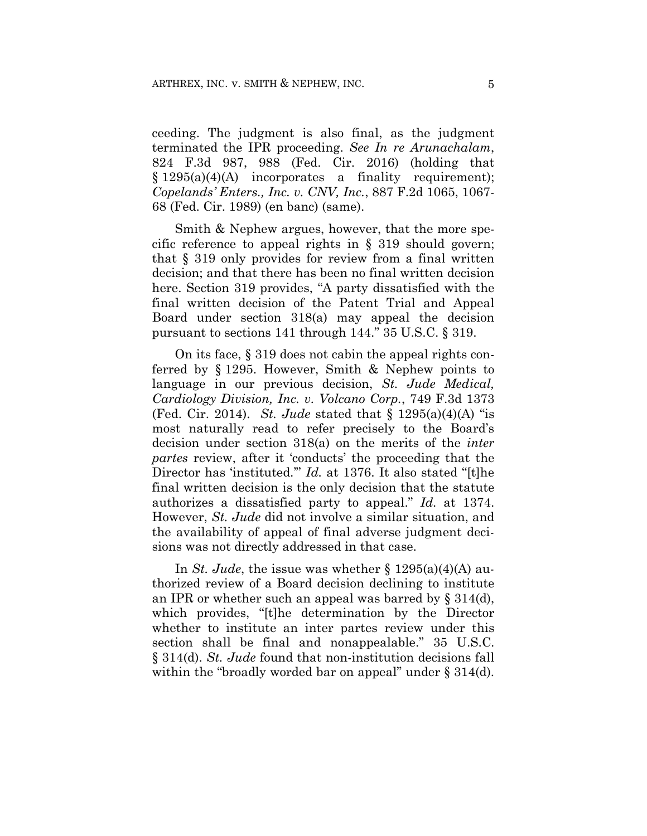ceeding. The judgment is also final, as the judgment terminated the IPR proceeding. *See In re Arunachalam*, 824 F.3d 987, 988 (Fed. Cir. 2016) (holding that  $§ 1295(a)(4)(A)$  incorporates a finality requirement); *Copelands' Enters., Inc. v. CNV, Inc.*, 887 F.2d 1065, 1067- 68 (Fed. Cir. 1989) (en banc) (same).

Smith & Nephew argues, however, that the more specific reference to appeal rights in § 319 should govern; that § 319 only provides for review from a final written decision; and that there has been no final written decision here. Section 319 provides, "A party dissatisfied with the final written decision of the Patent Trial and Appeal Board under section 318(a) may appeal the decision pursuant to sections 141 through 144." 35 U.S.C. § 319.

On its face, § 319 does not cabin the appeal rights conferred by § 1295. However, Smith & Nephew points to language in our previous decision, *St. Jude Medical, Cardiology Division, Inc. v. Volcano Corp.*, 749 F.3d 1373 (Fed. Cir. 2014). *St. Jude* stated that § 1295(a)(4)(A) "is most naturally read to refer precisely to the Board's decision under section 318(a) on the merits of the *inter partes* review, after it 'conducts' the proceeding that the Director has 'instituted.'" *Id.* at 1376. It also stated "[t]he final written decision is the only decision that the statute authorizes a dissatisfied party to appeal." *Id.* at 1374. However, *St. Jude* did not involve a similar situation, and the availability of appeal of final adverse judgment decisions was not directly addressed in that case.

In *St. Jude*, the issue was whether § 1295(a)(4)(A) authorized review of a Board decision declining to institute an IPR or whether such an appeal was barred by § 314(d), which provides, "[t]he determination by the Director whether to institute an inter partes review under this section shall be final and nonappealable." 35 U.S.C. § 314(d). *St. Jude* found that non-institution decisions fall within the "broadly worded bar on appeal" under § 314(d).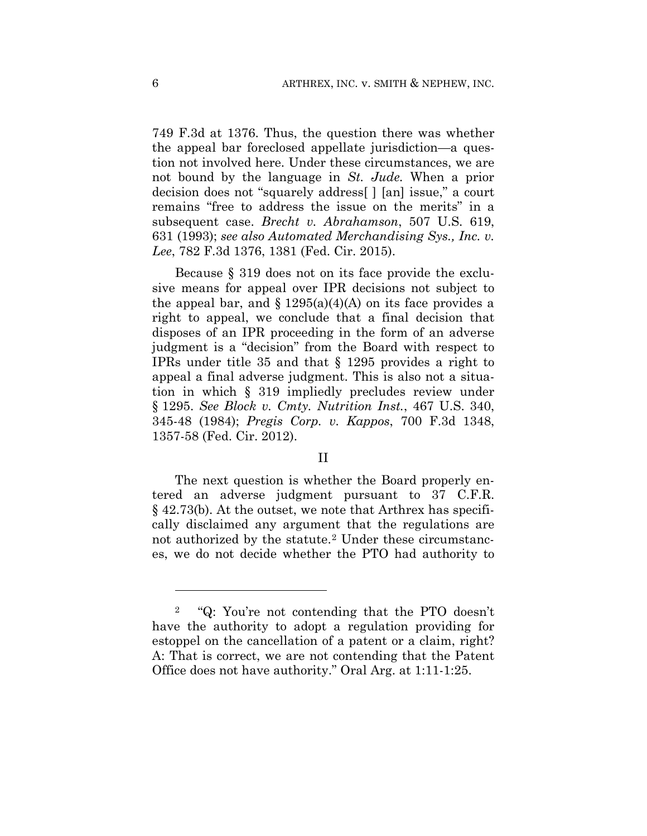749 F.3d at 1376. Thus, the question there was whether the appeal bar foreclosed appellate jurisdiction—a question not involved here. Under these circumstances, we are not bound by the language in *St. Jude.* When a prior decision does not "squarely address[ ] [an] issue," a court remains "free to address the issue on the merits" in a subsequent case. *Brecht v. Abrahamson*, 507 U.S. 619, 631 (1993); *see also Automated Merchandising Sys., Inc. v. Lee*, 782 F.3d 1376, 1381 (Fed. Cir. 2015).

Because § 319 does not on its face provide the exclusive means for appeal over IPR decisions not subject to the appeal bar, and  $\S 1295(a)(4)(A)$  on its face provides a right to appeal, we conclude that a final decision that disposes of an IPR proceeding in the form of an adverse judgment is a "decision" from the Board with respect to IPRs under title 35 and that § 1295 provides a right to appeal a final adverse judgment. This is also not a situation in which § 319 impliedly precludes review under § 1295. *See Block v. Cmty. Nutrition Inst.*, 467 U.S. 340, 345-48 (1984); *Pregis Corp. v. Kappos*, 700 F.3d 1348, 1357-58 (Fed. Cir. 2012).

### II

The next question is whether the Board properly entered an adverse judgment pursuant to 37 C.F.R. § 42.73(b). At the outset, we note that Arthrex has specifically disclaimed any argument that the regulations are not authorized by the statute.<sup>2</sup> Under these circumstances, we do not decide whether the PTO had authority to

<u>.</u>

<sup>2 &</sup>quot;Q: You're not contending that the PTO doesn't have the authority to adopt a regulation providing for estoppel on the cancellation of a patent or a claim, right? A: That is correct, we are not contending that the Patent Office does not have authority." Oral Arg. at 1:11-1:25.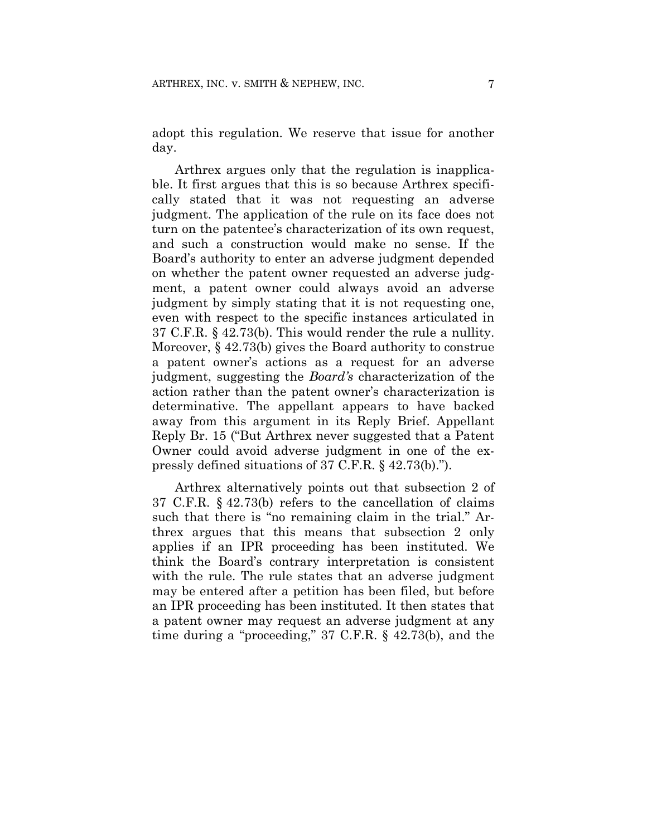adopt this regulation. We reserve that issue for another day.

Arthrex argues only that the regulation is inapplicable. It first argues that this is so because Arthrex specifically stated that it was not requesting an adverse judgment. The application of the rule on its face does not turn on the patentee's characterization of its own request, and such a construction would make no sense. If the Board's authority to enter an adverse judgment depended on whether the patent owner requested an adverse judgment, a patent owner could always avoid an adverse judgment by simply stating that it is not requesting one, even with respect to the specific instances articulated in 37 C.F.R. § 42.73(b). This would render the rule a nullity. Moreover, § 42.73(b) gives the Board authority to construe a patent owner's actions as a request for an adverse judgment, suggesting the *Board's* characterization of the action rather than the patent owner's characterization is determinative. The appellant appears to have backed away from this argument in its Reply Brief. Appellant Reply Br. 15 ("But Arthrex never suggested that a Patent Owner could avoid adverse judgment in one of the expressly defined situations of 37 C.F.R. § 42.73(b).").

Arthrex alternatively points out that subsection 2 of 37 C.F.R. § 42.73(b) refers to the cancellation of claims such that there is "no remaining claim in the trial." Arthrex argues that this means that subsection 2 only applies if an IPR proceeding has been instituted. We think the Board's contrary interpretation is consistent with the rule. The rule states that an adverse judgment may be entered after a petition has been filed, but before an IPR proceeding has been instituted. It then states that a patent owner may request an adverse judgment at any time during a "proceeding," 37 C.F.R. § 42.73(b), and the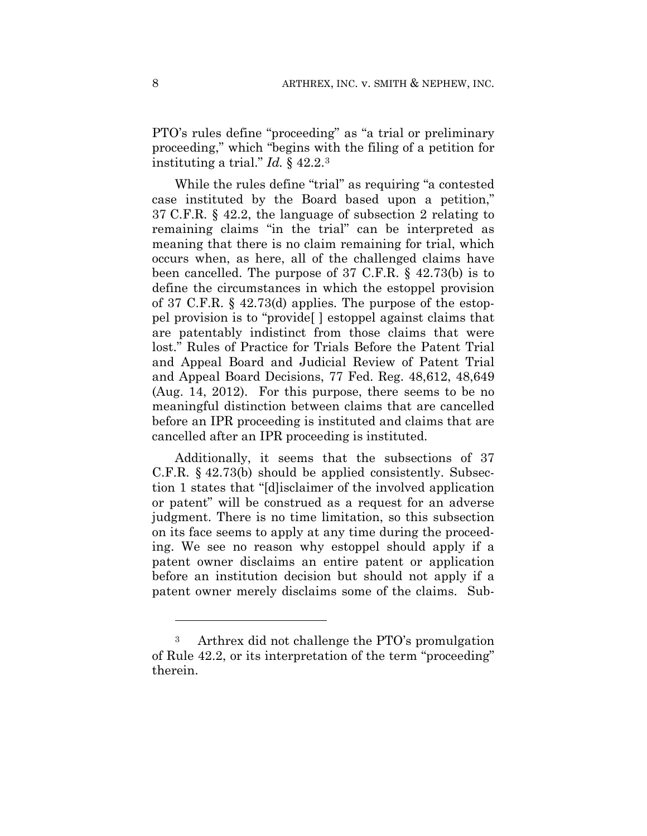PTO's rules define "proceeding" as "a trial or preliminary proceeding," which "begins with the filing of a petition for instituting a trial." *Id.* § 42.2.3

While the rules define "trial" as requiring "a contested case instituted by the Board based upon a petition," 37 C.F.R. § 42.2, the language of subsection 2 relating to remaining claims "in the trial" can be interpreted as meaning that there is no claim remaining for trial, which occurs when, as here, all of the challenged claims have been cancelled. The purpose of 37 C.F.R. § 42.73(b) is to define the circumstances in which the estoppel provision of 37 C.F.R. § 42.73(d) applies. The purpose of the estoppel provision is to "provide[ ] estoppel against claims that are patentably indistinct from those claims that were lost." Rules of Practice for Trials Before the Patent Trial and Appeal Board and Judicial Review of Patent Trial and Appeal Board Decisions, 77 Fed. Reg. 48,612, 48,649 (Aug. 14, 2012). For this purpose, there seems to be no meaningful distinction between claims that are cancelled before an IPR proceeding is instituted and claims that are cancelled after an IPR proceeding is instituted.

Additionally, it seems that the subsections of 37 C.F.R. § 42.73(b) should be applied consistently. Subsection 1 states that "[d]isclaimer of the involved application or patent" will be construed as a request for an adverse judgment. There is no time limitation, so this subsection on its face seems to apply at any time during the proceeding. We see no reason why estoppel should apply if a patent owner disclaims an entire patent or application before an institution decision but should not apply if a patent owner merely disclaims some of the claims. Sub-

<u>.</u>

<sup>3</sup> Arthrex did not challenge the PTO's promulgation of Rule 42.2, or its interpretation of the term "proceeding" therein.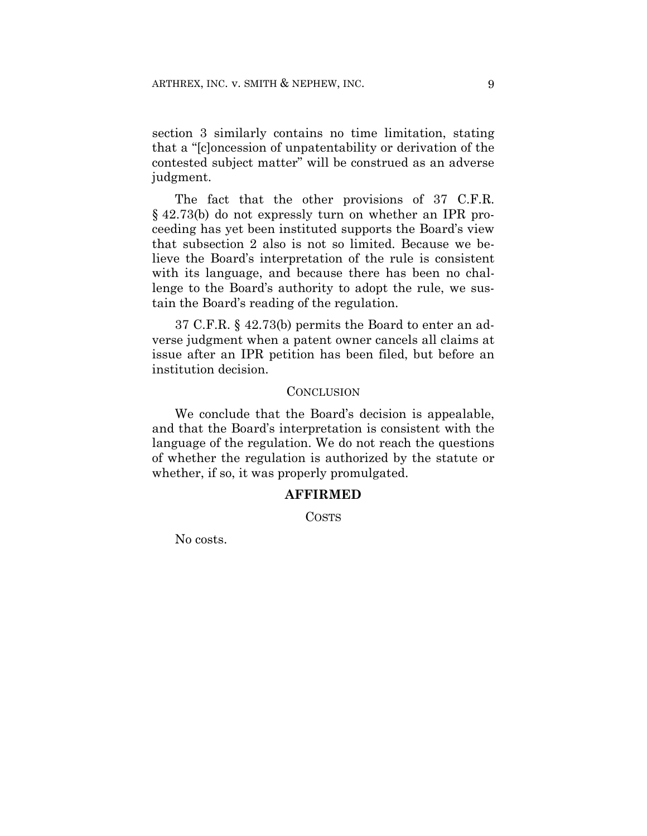section 3 similarly contains no time limitation, stating that a "[c]oncession of unpatentability or derivation of the contested subject matter" will be construed as an adverse judgment.

The fact that the other provisions of 37 C.F.R. § 42.73(b) do not expressly turn on whether an IPR proceeding has yet been instituted supports the Board's view that subsection 2 also is not so limited. Because we believe the Board's interpretation of the rule is consistent with its language, and because there has been no challenge to the Board's authority to adopt the rule, we sustain the Board's reading of the regulation.

37 C.F.R. § 42.73(b) permits the Board to enter an adverse judgment when a patent owner cancels all claims at issue after an IPR petition has been filed, but before an institution decision.

#### **CONCLUSION**

We conclude that the Board's decision is appealable, and that the Board's interpretation is consistent with the language of the regulation. We do not reach the questions of whether the regulation is authorized by the statute or whether, if so, it was properly promulgated.

## **AFFIRMED**

COSTS

No costs.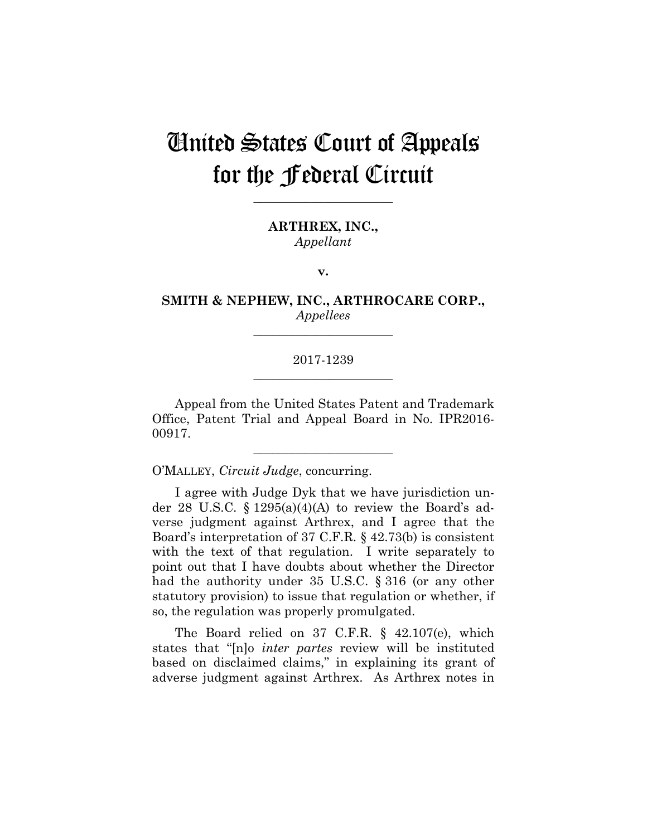# United States Court of Appeals for the Federal Circuit

**\_\_\_\_\_\_\_\_\_\_\_\_\_\_\_\_\_\_\_\_\_\_** 

**ARTHREX, INC.,** *Appellant*

**v.**

**SMITH & NEPHEW, INC., ARTHROCARE CORP.,** *Appellees*

**\_\_\_\_\_\_\_\_\_\_\_\_\_\_\_\_\_\_\_\_\_\_** 

# 2017-1239 **\_\_\_\_\_\_\_\_\_\_\_\_\_\_\_\_\_\_\_\_\_\_**

Appeal from the United States Patent and Trademark Office, Patent Trial and Appeal Board in No. IPR2016- 00917.

**\_\_\_\_\_\_\_\_\_\_\_\_\_\_\_\_\_\_\_\_\_\_** 

O'MALLEY, *Circuit Judge*, concurring.

I agree with Judge Dyk that we have jurisdiction under 28 U.S.C.  $\S 1295(a)(4)(A)$  to review the Board's adverse judgment against Arthrex, and I agree that the Board's interpretation of 37 C.F.R. § 42.73(b) is consistent with the text of that regulation. I write separately to point out that I have doubts about whether the Director had the authority under 35 U.S.C. § 316 (or any other statutory provision) to issue that regulation or whether, if so, the regulation was properly promulgated.

The Board relied on 37 C.F.R. § 42.107(e), which states that "[n]o *inter partes* review will be instituted based on disclaimed claims," in explaining its grant of adverse judgment against Arthrex. As Arthrex notes in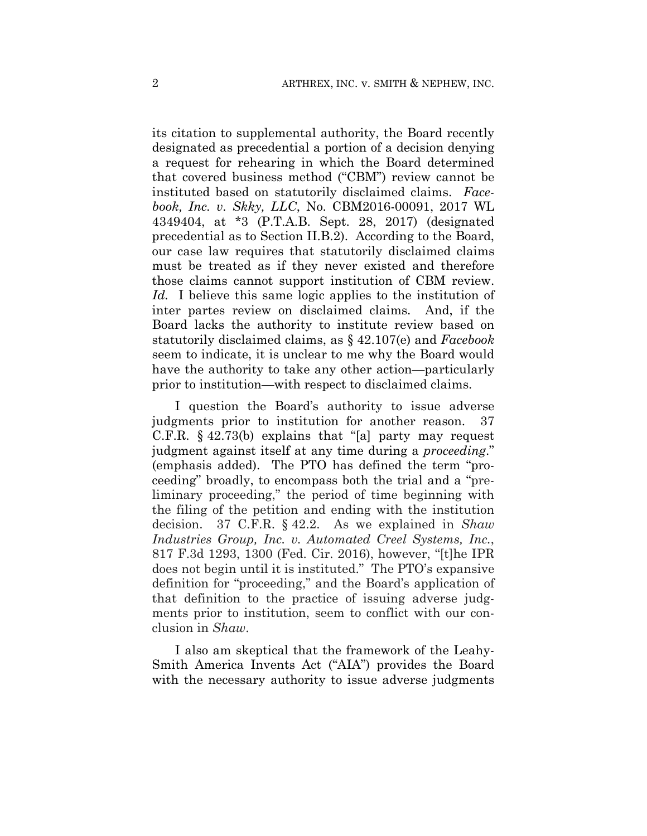its citation to supplemental authority, the Board recently designated as precedential a portion of a decision denying a request for rehearing in which the Board determined that covered business method ("CBM") review cannot be instituted based on statutorily disclaimed claims. *Facebook, Inc. v. Skky, LLC*, No. CBM2016-00091, 2017 WL 4349404, at \*3 (P.T.A.B. Sept. 28, 2017) (designated precedential as to Section II.B.2). According to the Board, our case law requires that statutorily disclaimed claims must be treated as if they never existed and therefore those claims cannot support institution of CBM review. *Id.* I believe this same logic applies to the institution of inter partes review on disclaimed claims. And, if the Board lacks the authority to institute review based on statutorily disclaimed claims, as § 42.107(e) and *Facebook* seem to indicate, it is unclear to me why the Board would have the authority to take any other action—particularly prior to institution—with respect to disclaimed claims.

I question the Board's authority to issue adverse judgments prior to institution for another reason. 37 C.F.R. § 42.73(b) explains that "[a] party may request judgment against itself at any time during a *proceeding*." (emphasis added). The PTO has defined the term "proceeding" broadly, to encompass both the trial and a "preliminary proceeding," the period of time beginning with the filing of the petition and ending with the institution decision. 37 C.F.R. § 42.2. As we explained in *Shaw Industries Group, Inc. v. Automated Creel Systems, Inc.*, 817 F.3d 1293, 1300 (Fed. Cir. 2016), however, "[t]he IPR does not begin until it is instituted." The PTO's expansive definition for "proceeding," and the Board's application of that definition to the practice of issuing adverse judgments prior to institution, seem to conflict with our conclusion in *Shaw*.

I also am skeptical that the framework of the Leahy-Smith America Invents Act ("AIA") provides the Board with the necessary authority to issue adverse judgments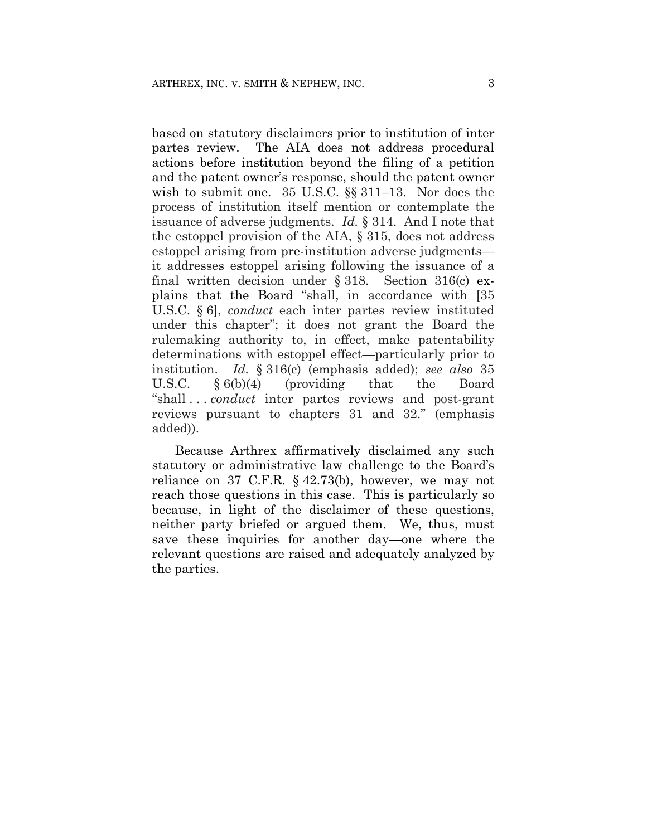based on statutory disclaimers prior to institution of inter partes review. The AIA does not address procedural actions before institution beyond the filing of a petition and the patent owner's response, should the patent owner wish to submit one. 35 U.S.C. §§ 311–13. Nor does the process of institution itself mention or contemplate the issuance of adverse judgments. *Id.* § 314. And I note that the estoppel provision of the AIA, § 315, does not address estoppel arising from pre-institution adverse judgments it addresses estoppel arising following the issuance of a final written decision under § 318. Section 316(c) explains that the Board "shall, in accordance with [35 U.S.C. § 6], *conduct* each inter partes review instituted under this chapter"; it does not grant the Board the rulemaking authority to, in effect, make patentability determinations with estoppel effect—particularly prior to institution. *Id.* § 316(c) (emphasis added); *see also* 35 U.S.C. § 6(b)(4) (providing that the Board "shall . . . *conduct* inter partes reviews and post-grant reviews pursuant to chapters 31 and 32." (emphasis added)).

Because Arthrex affirmatively disclaimed any such statutory or administrative law challenge to the Board's reliance on 37 C.F.R. § 42.73(b), however, we may not reach those questions in this case. This is particularly so because, in light of the disclaimer of these questions, neither party briefed or argued them. We, thus, must save these inquiries for another day—one where the relevant questions are raised and adequately analyzed by the parties.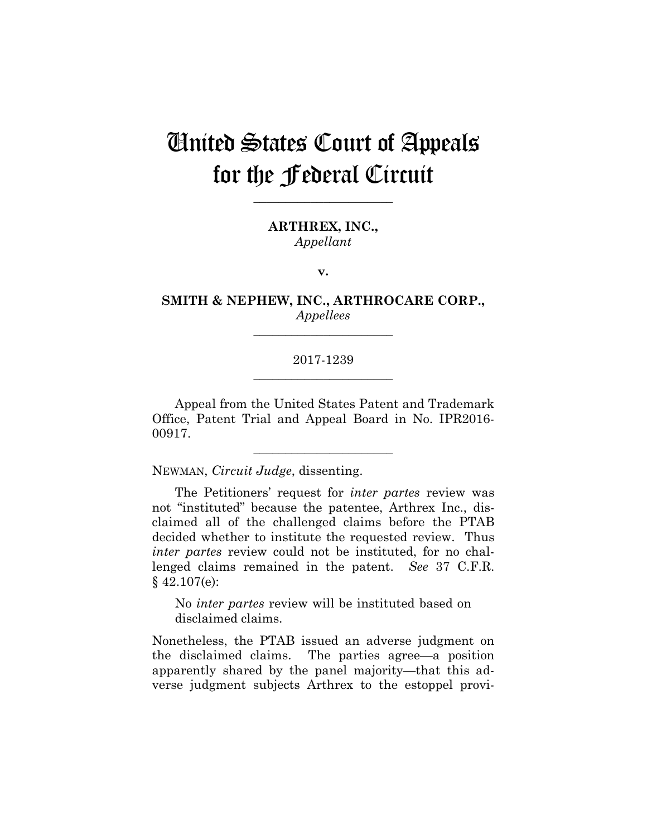# United States Court of Appeals for the Federal Circuit

**\_\_\_\_\_\_\_\_\_\_\_\_\_\_\_\_\_\_\_\_\_\_** 

**ARTHREX, INC.,** *Appellant*

**v.**

**SMITH & NEPHEW, INC., ARTHROCARE CORP.,** *Appellees*

**\_\_\_\_\_\_\_\_\_\_\_\_\_\_\_\_\_\_\_\_\_\_** 

# 2017-1239 **\_\_\_\_\_\_\_\_\_\_\_\_\_\_\_\_\_\_\_\_\_\_**

Appeal from the United States Patent and Trademark Office, Patent Trial and Appeal Board in No. IPR2016- 00917.

**\_\_\_\_\_\_\_\_\_\_\_\_\_\_\_\_\_\_\_\_\_\_** 

NEWMAN, *Circuit Judge*, dissenting.

The Petitioners' request for *inter partes* review was not "instituted" because the patentee, Arthrex Inc., disclaimed all of the challenged claims before the PTAB decided whether to institute the requested review. Thus *inter partes* review could not be instituted, for no challenged claims remained in the patent. *See* 37 C.F.R.  $§$  42.107(e):

No *inter partes* review will be instituted based on disclaimed claims.

Nonetheless, the PTAB issued an adverse judgment on the disclaimed claims. The parties agree—a position apparently shared by the panel majority—that this adverse judgment subjects Arthrex to the estoppel provi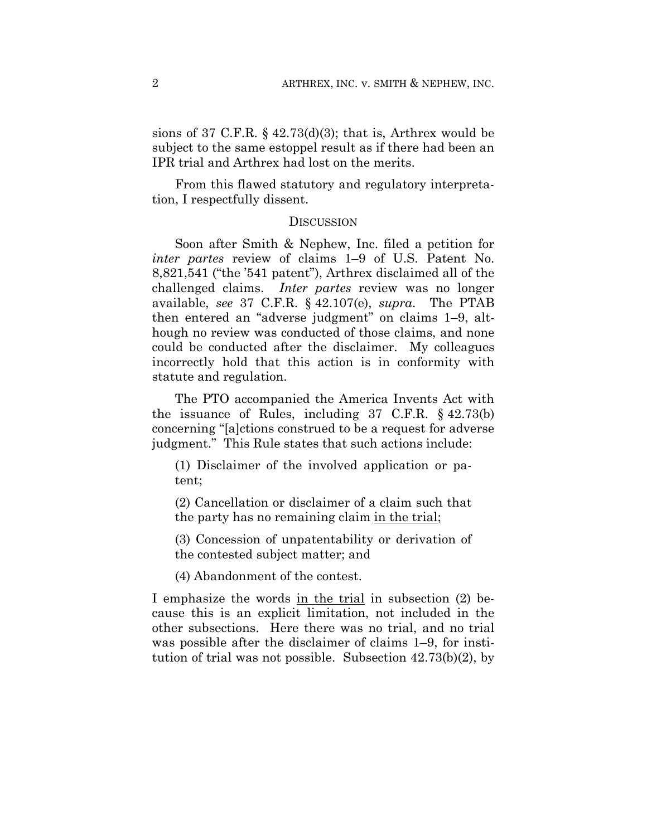sions of 37 C.F.R.  $\S$  42.73(d)(3); that is, Arthrex would be subject to the same estoppel result as if there had been an IPR trial and Arthrex had lost on the merits.

From this flawed statutory and regulatory interpretation, I respectfully dissent.

### **DISCUSSION**

Soon after Smith & Nephew, Inc. filed a petition for *inter partes* review of claims 1–9 of U.S. Patent No. 8,821,541 ("the '541 patent"), Arthrex disclaimed all of the challenged claims. *Inter partes* review was no longer available, *see* 37 C.F.R. § 42.107(e), *supra*. The PTAB then entered an "adverse judgment" on claims 1–9, although no review was conducted of those claims, and none could be conducted after the disclaimer. My colleagues incorrectly hold that this action is in conformity with statute and regulation.

The PTO accompanied the America Invents Act with the issuance of Rules, including 37 C.F.R. § 42.73(b) concerning "[a]ctions construed to be a request for adverse judgment." This Rule states that such actions include:

(1) Disclaimer of the involved application or patent;

(2) Cancellation or disclaimer of a claim such that the party has no remaining claim in the trial;

(3) Concession of unpatentability or derivation of the contested subject matter; and

(4) Abandonment of the contest.

I emphasize the words in the trial in subsection (2) because this is an explicit limitation, not included in the other subsections. Here there was no trial, and no trial was possible after the disclaimer of claims 1–9, for institution of trial was not possible. Subsection 42.73(b)(2), by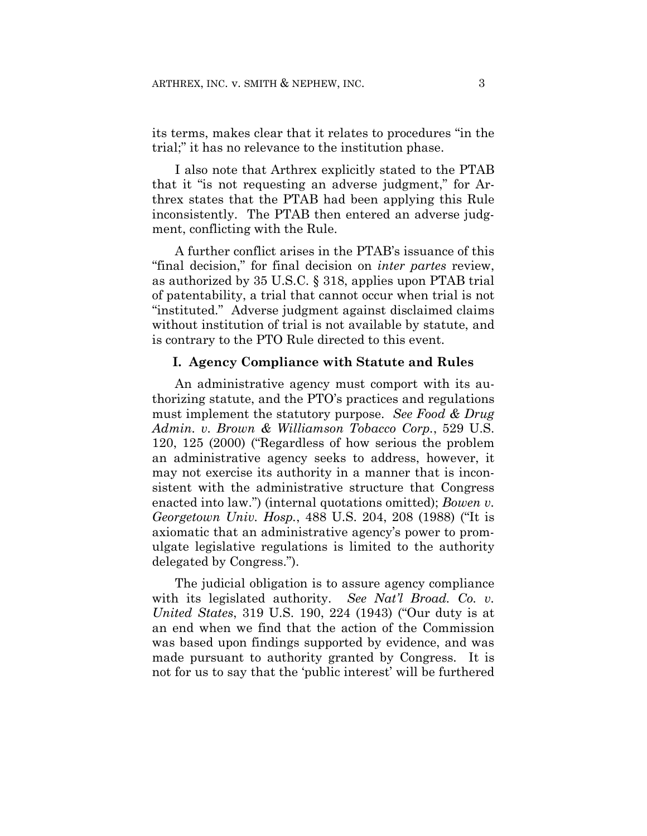its terms, makes clear that it relates to procedures "in the trial;" it has no relevance to the institution phase.

I also note that Arthrex explicitly stated to the PTAB that it "is not requesting an adverse judgment," for Arthrex states that the PTAB had been applying this Rule inconsistently. The PTAB then entered an adverse judgment, conflicting with the Rule.

A further conflict arises in the PTAB's issuance of this "final decision," for final decision on *inter partes* review, as authorized by 35 U.S.C. § 318, applies upon PTAB trial of patentability, a trial that cannot occur when trial is not "instituted." Adverse judgment against disclaimed claims without institution of trial is not available by statute, and is contrary to the PTO Rule directed to this event.

### **I. Agency Compliance with Statute and Rules**

An administrative agency must comport with its authorizing statute, and the PTO's practices and regulations must implement the statutory purpose. *See Food & Drug Admin. v. Brown & Williamson Tobacco Corp.*, 529 U.S. 120, 125 (2000) ("Regardless of how serious the problem an administrative agency seeks to address, however, it may not exercise its authority in a manner that is inconsistent with the administrative structure that Congress enacted into law.") (internal quotations omitted); *Bowen v. Georgetown Univ. Hosp.*, 488 U.S. 204, 208 (1988) ("It is axiomatic that an administrative agency's power to promulgate legislative regulations is limited to the authority delegated by Congress.").

The judicial obligation is to assure agency compliance with its legislated authority. *See Nat'l Broad. Co. v. United States*, 319 U.S. 190, 224 (1943) ("Our duty is at an end when we find that the action of the Commission was based upon findings supported by evidence, and was made pursuant to authority granted by Congress. It is not for us to say that the 'public interest' will be furthered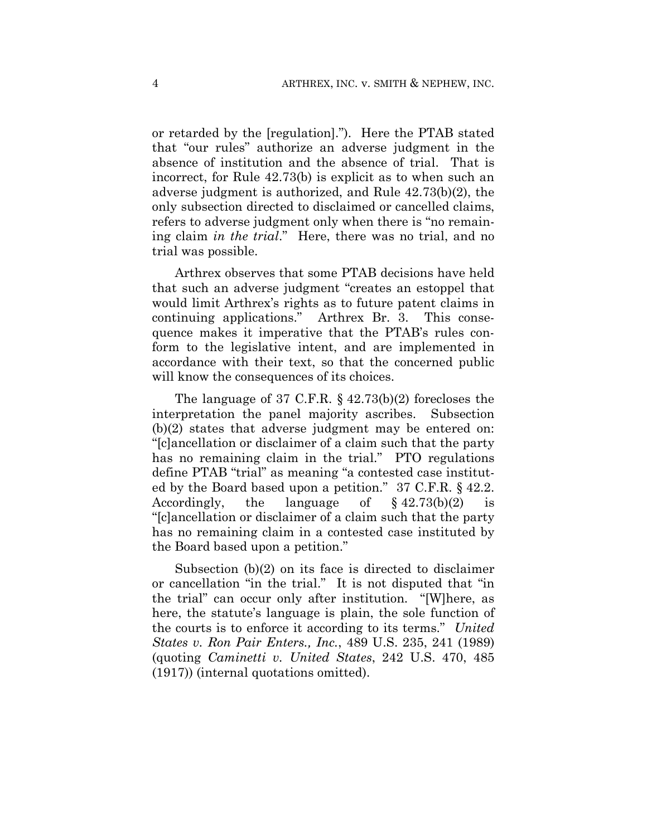or retarded by the [regulation]."). Here the PTAB stated that "our rules" authorize an adverse judgment in the absence of institution and the absence of trial. That is incorrect, for Rule 42.73(b) is explicit as to when such an adverse judgment is authorized, and Rule 42.73(b)(2), the only subsection directed to disclaimed or cancelled claims, refers to adverse judgment only when there is "no remaining claim *in the trial*." Here, there was no trial, and no trial was possible.

Arthrex observes that some PTAB decisions have held that such an adverse judgment "creates an estoppel that would limit Arthrex's rights as to future patent claims in continuing applications." Arthrex Br. 3. This consequence makes it imperative that the PTAB's rules conform to the legislative intent, and are implemented in accordance with their text, so that the concerned public will know the consequences of its choices.

The language of 37 C.F.R. § 42.73(b)(2) forecloses the interpretation the panel majority ascribes. Subsection (b)(2) states that adverse judgment may be entered on: "[c]ancellation or disclaimer of a claim such that the party has no remaining claim in the trial." PTO regulations define PTAB "trial" as meaning "a contested case instituted by the Board based upon a petition." 37 C.F.R. § 42.2. Accordingly, the language of  $§\ 42.73(b)(2)$ "[c]ancellation or disclaimer of a claim such that the party has no remaining claim in a contested case instituted by the Board based upon a petition."

Subsection (b)(2) on its face is directed to disclaimer or cancellation "in the trial." It is not disputed that "in the trial" can occur only after institution. "[W]here, as here, the statute's language is plain, the sole function of the courts is to enforce it according to its terms." *United States v. Ron Pair Enters., Inc.*, 489 U.S. 235, 241 (1989) (quoting *Caminetti v. United States*, 242 U.S. 470, 485 (1917)) (internal quotations omitted).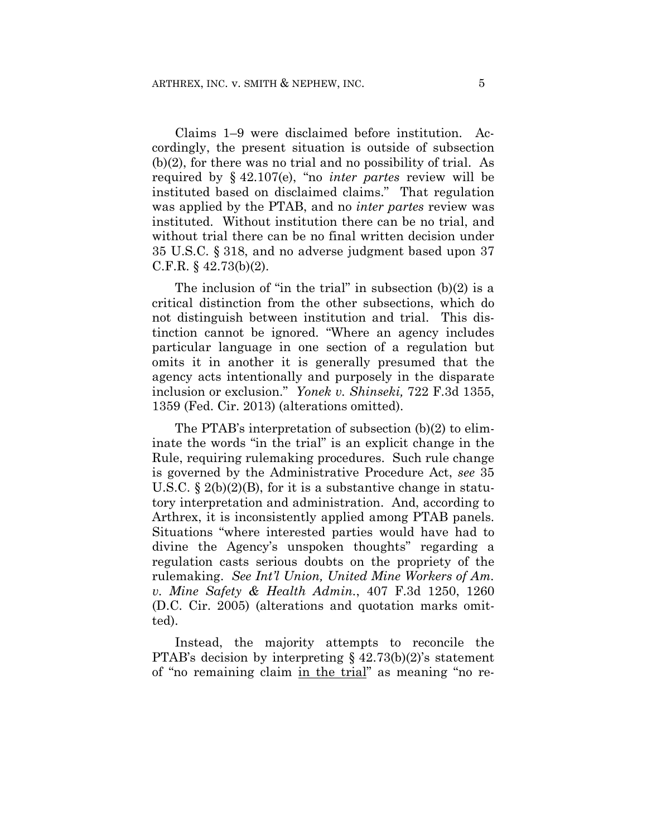Claims 1–9 were disclaimed before institution. Accordingly, the present situation is outside of subsection (b)(2), for there was no trial and no possibility of trial. As required by § 42.107(e), "no *inter partes* review will be instituted based on disclaimed claims." That regulation was applied by the PTAB, and no *inter partes* review was instituted. Without institution there can be no trial, and without trial there can be no final written decision under 35 U.S.C. § 318, and no adverse judgment based upon 37 C.F.R.  $\S$  42.73(b)(2).

The inclusion of "in the trial" in subsection  $(b)(2)$  is a critical distinction from the other subsections, which do not distinguish between institution and trial. This distinction cannot be ignored. "Where an agency includes particular language in one section of a regulation but omits it in another it is generally presumed that the agency acts intentionally and purposely in the disparate inclusion or exclusion." *Yonek v. Shinseki,* 722 F.3d 1355, 1359 (Fed. Cir. 2013) (alterations omitted).

The PTAB's interpretation of subsection (b)(2) to eliminate the words "in the trial" is an explicit change in the Rule, requiring rulemaking procedures. Such rule change is governed by the Administrative Procedure Act, *see* 35 U.S.C.  $\S 2(b)(2)(B)$ , for it is a substantive change in statutory interpretation and administration. And, according to Arthrex, it is inconsistently applied among PTAB panels. Situations "where interested parties would have had to divine the Agency's unspoken thoughts" regarding a regulation casts serious doubts on the propriety of the rulemaking. *See Int'l Union, United Mine Workers of Am. v. Mine Safety & Health Admin.*, 407 F.3d 1250, 1260 (D.C. Cir. 2005) (alterations and quotation marks omitted).

Instead, the majority attempts to reconcile the PTAB's decision by interpreting  $\S$  42.73(b)(2)'s statement of "no remaining claim in the trial" as meaning "no re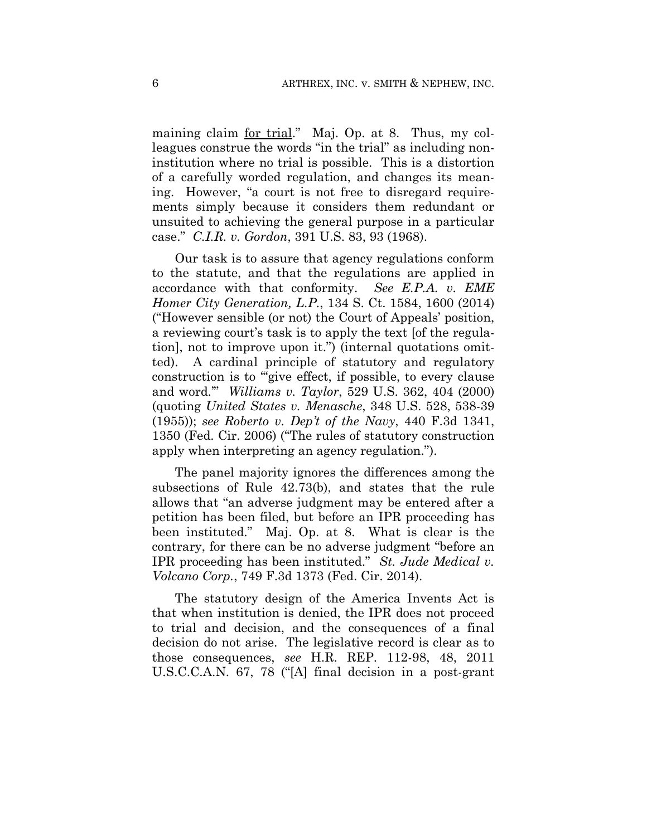maining claim for trial." Maj. Op. at 8. Thus, my colleagues construe the words "in the trial" as including noninstitution where no trial is possible. This is a distortion of a carefully worded regulation, and changes its meaning. However, "a court is not free to disregard requirements simply because it considers them redundant or unsuited to achieving the general purpose in a particular case." *C.I.R. v. Gordon*, 391 U.S. 83, 93 (1968).

Our task is to assure that agency regulations conform to the statute, and that the regulations are applied in accordance with that conformity. *See E.P.A. v. EME Homer City Generation, L.P.*, 134 S. Ct. 1584, 1600 (2014) ("However sensible (or not) the Court of Appeals' position, a reviewing court's task is to apply the text [of the regulation], not to improve upon it.") (internal quotations omitted). A cardinal principle of statutory and regulatory construction is to "'give effect, if possible, to every clause and word.'" *Williams v. Taylor*, 529 U.S. 362, 404 (2000) (quoting *United States v. Menasche*, 348 U.S. 528, 538-39 (1955)); *see Roberto v. Dep't of the Navy*, 440 F.3d 1341, 1350 (Fed. Cir. 2006) ("The rules of statutory construction apply when interpreting an agency regulation.").

The panel majority ignores the differences among the subsections of Rule 42.73(b), and states that the rule allows that "an adverse judgment may be entered after a petition has been filed, but before an IPR proceeding has been instituted." Maj. Op. at 8. What is clear is the contrary, for there can be no adverse judgment "before an IPR proceeding has been instituted." *St. Jude Medical v. Volcano Corp.*, 749 F.3d 1373 (Fed. Cir. 2014).

The statutory design of the America Invents Act is that when institution is denied, the IPR does not proceed to trial and decision, and the consequences of a final decision do not arise. The legislative record is clear as to those consequences, *see* H.R. REP. 112-98, 48, 2011 U.S.C.C.A.N. 67, 78 ("[A] final decision in a post-grant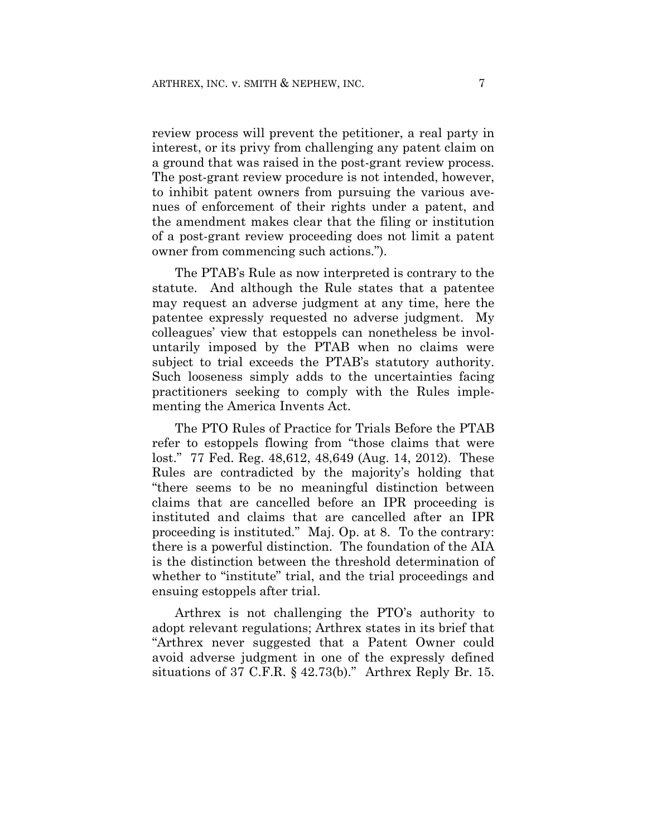review process will prevent the petitioner, a real party in interest, or its privy from challenging any patent claim on a ground that was raised in the post-grant review process. The post-grant review procedure is not intended, however, to inhibit patent owners from pursuing the various avenues of enforcement of their rights under a patent, and the amendment makes clear that the filing or institution of a post-grant review proceeding does not limit a patent owner from commencing such actions.").

The PTAB's Rule as now interpreted is contrary to the statute. And although the Rule states that a patentee may request an adverse judgment at any time, here the patentee expressly requested no adverse judgment. My colleagues' view that estoppels can nonetheless be involuntarily imposed by the PTAB when no claims were subject to trial exceeds the PTAB's statutory authority. Such looseness simply adds to the uncertainties facing practitioners seeking to comply with the Rules implementing the America Invents Act.

The PTO Rules of Practice for Trials Before the PTAB refer to estoppels flowing from "those claims that were lost." 77 Fed. Reg. 48,612, 48,649 (Aug. 14, 2012). These Rules are contradicted by the majority's holding that "there seems to be no meaningful distinction between claims that are cancelled before an IPR proceeding is instituted and claims that are cancelled after an IPR proceeding is instituted." Maj. Op. at 8. To the contrary: there is a powerful distinction. The foundation of the AIA is the distinction between the threshold determination of whether to "institute" trial, and the trial proceedings and ensuing estoppels after trial.

Arthrex is not challenging the PTO's authority to adopt relevant regulations; Arthrex states in its brief that "Arthrex never suggested that a Patent Owner could avoid adverse judgment in one of the expressly defined situations of 37 C.F.R.  $\S$  42.73(b)." Arthrex Reply Br. 15.